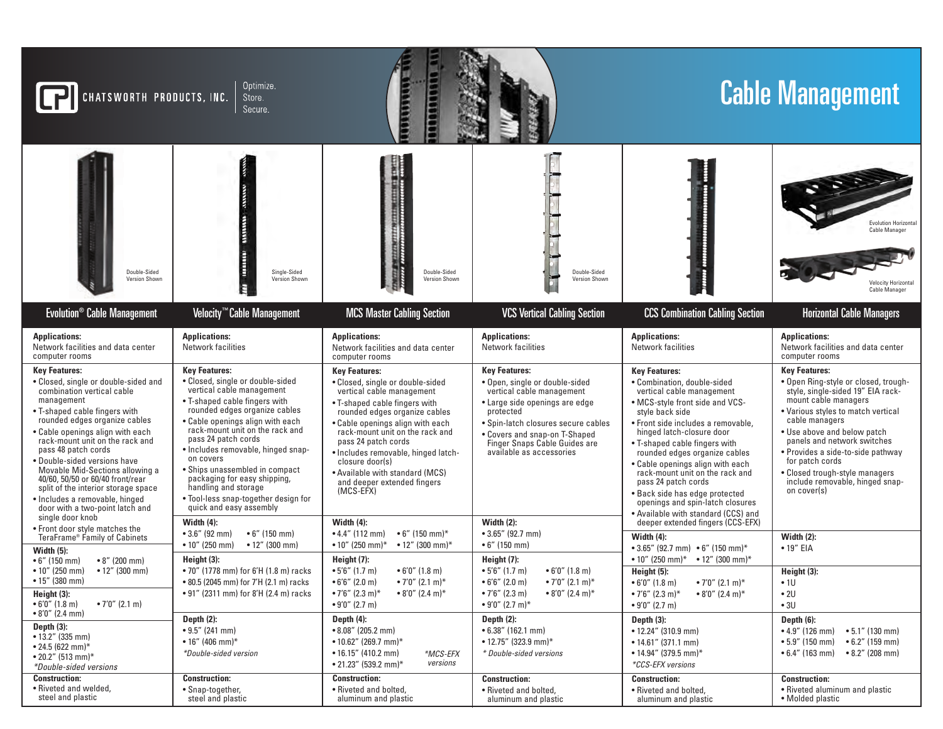